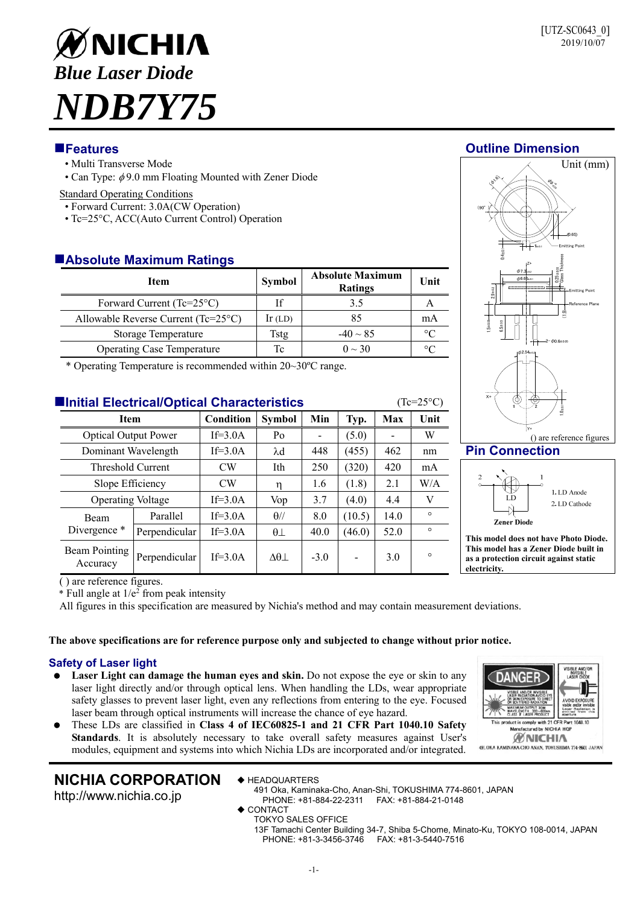# ØNICHIA *Blue Laser Diode NDB7Y75*

- Multi Transverse Mode
- Can Type:  $\phi$  9.0 mm Floating Mounted with Zener Diode

#### Standard Operating Conditions

- Forward Current: 3.0A(CW Operation)
- Tc=25°C, ACC(Auto Current Control) Operation

# **Absolute Maximum Ratings**

| Item                                 | Symbol    | <b>Absolute Maximum</b><br><b>Ratings</b> | Unit      |
|--------------------------------------|-----------|-------------------------------------------|-----------|
| Forward Current (Tc= $25^{\circ}$ C) |           | 3.5                                       |           |
| Allowable Reverse Current (Tc=25°C)  | $lr$ (LD) | 85                                        | mA        |
| Storage Temperature                  | Tstg      | $-40 \sim 85$                             | $\circ$ C |
| <b>Operating Case Temperature</b>    | Tc        | $0 \sim 30$                               | °∩        |

\* Operating Temperature is recommended within 20~30ºC range.

| <b>Elnitial Electrical/Optical Characteristics</b><br>$(Tc=25\textdegree C)$ |               |                  |                        |        |        |      |         |  |
|------------------------------------------------------------------------------|---------------|------------------|------------------------|--------|--------|------|---------|--|
| <b>Item</b>                                                                  |               | <b>Condition</b> | <b>Symbol</b>          | Min    | Typ.   | Max  | Unit    |  |
| <b>Optical Output Power</b>                                                  |               | If= $3.0A$       | Po                     |        | (5.0)  |      | W       |  |
| Dominant Wavelength                                                          |               | $If=3.0A$        | $\lambda$ d            | 448    | (455)  | 462  | nm      |  |
| Threshold Current                                                            |               | CW               | Ith                    | 250    | (320)  | 420  | mA      |  |
| Slope Efficiency                                                             |               | <b>CW</b>        | η                      | 1.6    | (1.8)  | 2.1  | W/A     |  |
| <b>Operating Voltage</b>                                                     |               | If= $3.0A$       | Vop                    | 3.7    | (4.0)  | 4.4  | V       |  |
| <b>Beam</b><br>Divergence *                                                  | Parallel      | If= $3.0A$       | $\theta$ //            | 8.0    | (10.5) | 14.0 | $\circ$ |  |
|                                                                              | Perpendicular | $If=3.0A$        | $\theta\bot$           | 40.0   | (46.0) | 52.0 | $\circ$ |  |
| Beam Pointing<br>Accuracy                                                    | Perpendicular | $If=3.0A$        | $\Delta\theta$ $\perp$ | $-3.0$ |        | 3.0  | $\circ$ |  |

# **Features Outline Dimension**



# **Pin Connection**



**This model does not have Photo Diode. This model has a Zener Diode built in as a protection circuit against static electricity.** 

**ANG** 

duct is comply with 21 CFR Part **fectured by NICHIA HO ØNICHIA** 491. OKA KAMINAKA-CHO ANAN, TOKUSHIMA 774-8601 JAPAN

( ) are reference figures.

 $*$  Full angle at  $1/e<sup>2</sup>$  from peak intensity

All figures in this specification are measured by Nichia's method and may contain measurement deviations.

# **The above specifications are for reference purpose only and subjected to change without prior notice.**

# **Safety of Laser light**

- Laser Light can damage the human eyes and skin. Do not expose the eye or skin to any laser light directly and/or through optical lens. When handling the LDs, wear appropriate safety glasses to prevent laser light, even any reflections from entering to the eye. Focused laser beam through optical instruments will increase the chance of eye hazard.
- These LDs are classified in **Class 4 of IEC60825-1 and 21 CFR Part 1040.10 Safety Standards**. It is absolutely necessary to take overall safety measures against User's modules, equipment and systems into which Nichia LDs are incorporated and/or integrated.

# **NICHIA CORPORATION**

http://www.nichia.co.jp

- ◆ HEADQUARTERS
- 491 Oka, Kaminaka-Cho, Anan-Shi, TOKUSHIMA 774-8601, JAPAN PHONE: +81-884-22-2311 FAX: +81-884-21-0148
- $\bullet$  CONTACT
- TOKYO SALES OFFICE

13F Tamachi Center Building 34-7, Shiba 5-Chome, Minato-Ku, TOKYO 108-0014, JAPAN PHONE: +81-3-3456-3746 FAX: +81-3-5440-7516